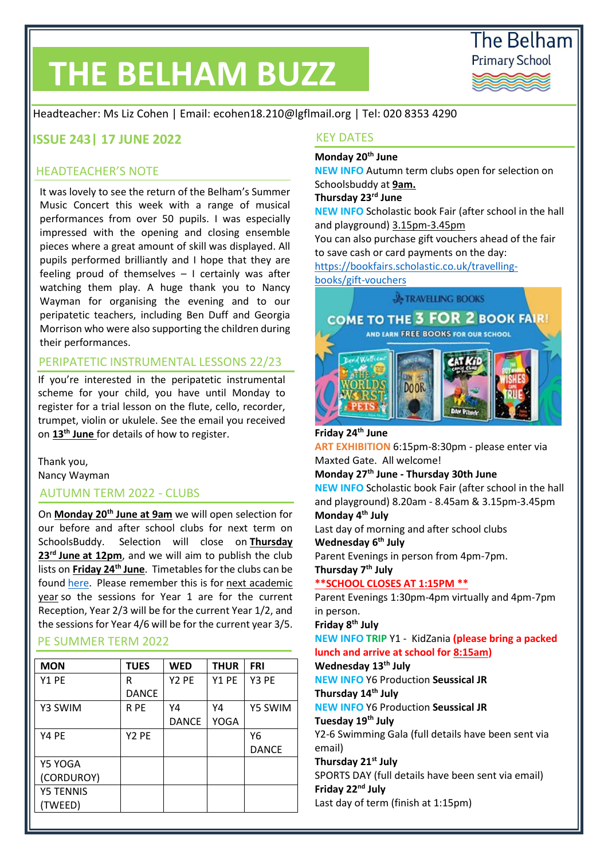# **THE BELHAM BUZZ**



Headteacher: Ms Liz Cohen | Email: ecohen18.210@lgflmail.org | Tel: 020 8353 4290

# **ISSUE 243| 17 JUNE 2022**

## HEADTEACHER'S NOTE

It was lovely to see the return of the Belham's Summer Music Concert this week with a range of musical performances from over 50 pupils. I was especially impressed with the opening and closing ensemble pieces where a great amount of skill was displayed. All pupils performed brilliantly and I hope that they are feeling proud of themselves – I certainly was after watching them play. A huge thank you to Nancy Wayman for organising the evening and to our peripatetic teachers, including Ben Duff and Georgia Morrison who were also supporting the children during their performances.

# PERIPATETIC INSTRUMENTAL LESSONS 22/23

If you're interested in the peripatetic instrumental scheme for your child, you have until Monday to register for a trial lesson on the flute, cello, recorder, trumpet, violin or ukulele. See the email you received on **13th June** for details of how to register.

Thank you, Nancy Wayman

### AUTUMN TERM 2022 - CLUBS

On **Monday 20th June at 9am** we will open selection for our before and after school clubs for next term on SchoolsBuddy. Selection will close on **Thursday 23rd June at 12pm**, and we will aim to publish the club lists on **Friday 24th June**. Timetables for the clubs can be found [here.](http://www.thebelhamprimaryschool.org.uk/before-and-after-school-clubs.html) Please remember this is for next academic year so the sessions for Year 1 are for the current Reception, Year 2/3 will be for the current Year 1/2, and the sessions for Year 4/6 will be for the current year 3/5.

# PE SUMMER TERM 2022

| <b>MON</b>       | <b>TUES</b>  | <b>WED</b>        | <b>THUR</b> | <b>FRI</b>   |
|------------------|--------------|-------------------|-------------|--------------|
| Y1 PE            | R            | Y <sub>2</sub> PE | Y1 PE       | Y3 PE        |
|                  | <b>DANCE</b> |                   |             |              |
| Y3 SWIM          | R PE         | Y4                | Y4          | Y5 SWIM      |
|                  |              | <b>DANCE</b>      | YOGA        |              |
| Y4 PE            | Y2 PE        |                   |             | Y6           |
|                  |              |                   |             | <b>DANCE</b> |
| Y5 YOGA          |              |                   |             |              |
| (CORDUROY)       |              |                   |             |              |
| <b>Y5 TENNIS</b> |              |                   |             |              |
| (TWEED)          |              |                   |             |              |

## KEY DATES

#### **Monday 20th June**

**NEW INFO** Autumn term clubs open for selection on Schoolsbuddy at **9am.**

#### **Thursday 23rd June**

**NEW INFO** Scholastic book Fair (after school in the hall and playground) 3.15pm-3.45pm You can also purchase gift vouchers ahead of the fair to save cash or card payments on the day: [https://bookfairs.scholastic.co.uk/travelling-](https://bookfairs.scholastic.co.uk/travelling-books/gift-vouchers)

[books/gift-vouchers](https://bookfairs.scholastic.co.uk/travelling-books/gift-vouchers)



#### **Friday 24th June**

**ART EXHIBITION** 6:15pm-8:30pm - please enter via Maxted Gate. All welcome!

**Monday 27th June - Thursday 30th June**

**NEW INFO** Scholastic book Fair (after school in the hall and playground) 8.20am - 8.45am & 3.15pm-3.45pm **Monday 4th July** 

Last day of morning and after school clubs **Wednesday 6th July**

Parent Evenings in person from 4pm-7pm.

**Thursday 7th July** 

**\*\*SCHOOL CLOSES AT 1:15PM \*\***

Parent Evenings 1:30pm-4pm virtually and 4pm-7pm in person.

#### **Friday 8th July**

**NEW INFO TRIP** Y1 - KidZania **(please bring a packed lunch and arrive at school for 8:15am)**

#### **Wednesday 13th July**

**NEW INFO** Y6 Production **Seussical JR**

#### **Thursday 14th July**

**NEW INFO** Y6 Production **Seussical JR**

#### **Tuesday 19th July**

Y2-6 Swimming Gala (full details have been sent via email)

#### **Thursday 21st July**

SPORTS DAY (full details have been sent via email) **Friday 22nd July**

#### Last day of term (finish at 1:15pm)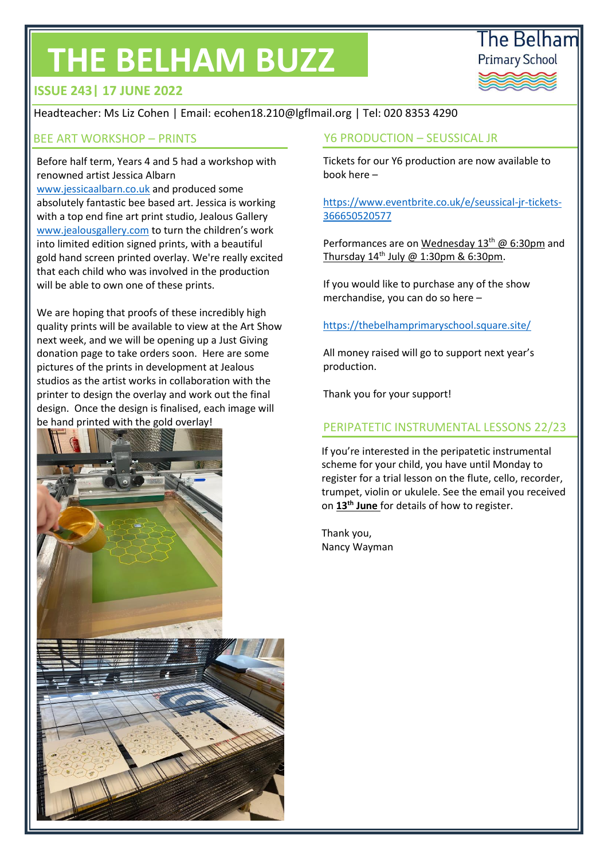# **THE BELHAM BUZZ**



# **ISSUE 243| 17 JUNE 2022**

# Headteacher: Ms Liz Cohen | Email: ecohen18.210@lgflmail.org | Tel: 020 8353 4290

# BEE ART WORKSHOP – PRINTS

Before half term, Years 4 and 5 had a workshop with renowned artist Jessica Albarn

[www.jessicaalbarn.co.uk](file://///thebelhamprimaryschool.org.uk/pd$/AdminOffice/CATHERINE%20ROSS/CATHERINE%20MURRAY/www.jessicaalbarn.co.uk%20) and produced some absolutely fantastic bee based art. Jessica is working with a top end fine art print studio, Jealous Gallery [www.jealousgallery.com](file://///thebelhamprimaryschool.org.uk/pd$/AdminOffice/CATHERINE%20ROSS/CATHERINE%20MURRAY/www.jealousgallery.com%20) to turn the children's work into limited edition signed prints, with a beautiful gold hand screen printed overlay. We're really excited that each child who was involved in the production will be able to own one of these prints.

We are hoping that proofs of these incredibly high quality prints will be available to view at the Art Show next week, and we will be opening up a Just Giving donation page to take orders soon. Here are some pictures of the prints in development at Jealous studios as the artist works in collaboration with the printer to design the overlay and work out the final design. Once the design is finalised, each image will be hand printed with the gold overlay!

# Tickets for our Y6 production are now available to book here –

[https://www.eventbrite.co.uk/e/seussical-jr-tickets-](https://www.eventbrite.co.uk/e/seussical-jr-tickets-366650520577)[366650520577](https://www.eventbrite.co.uk/e/seussical-jr-tickets-366650520577)

Y6 PRODUCTION – SEUSSICAL JR

Performances are on Wednesday  $13<sup>th</sup>$  @ 6:30pm and Thursday  $14<sup>th</sup>$  July @ 1:30pm & 6:30pm.

If you would like to purchase any of the show merchandise, you can do so here –

#### <https://thebelhamprimaryschool.square.site/>

All money raised will go to support next year's production.

Thank you for your support!

### PERIPATETIC INSTRUMENTAL LESSONS 22/23

If you're interested in the peripatetic instrumental scheme for your child, you have until Monday to register for a trial lesson on the flute, cello, recorder, trumpet, violin or ukulele. See the email you received on **13th June** for details of how to register.

Thank you, Nancy Wayman

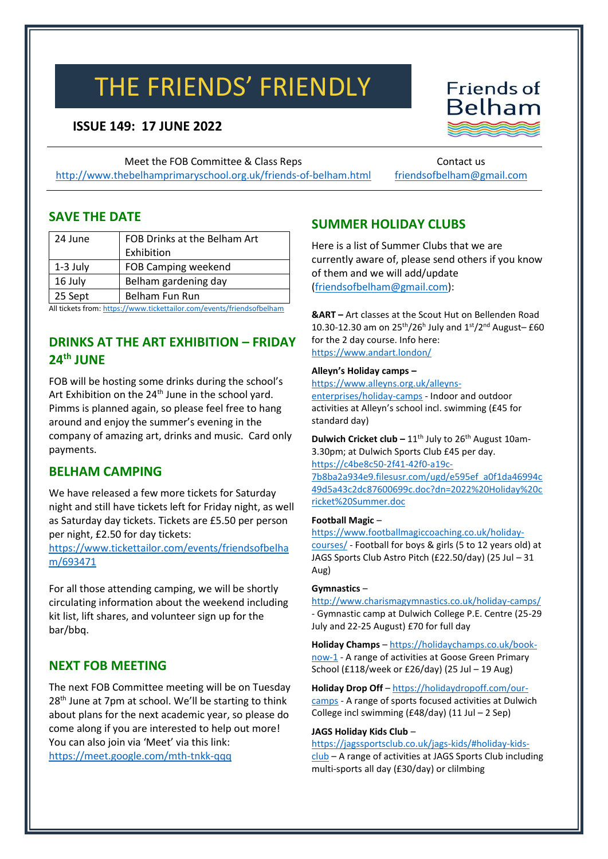# THE FRIENDS' FRIENDLY

# **ISSUE 149: 17 JUNE 2022**

Meet the FOB Committee & Class Reps <http://www.thebelhamprimaryschool.org.uk/friends-of-belham.html>

# [friendsofbelham@gmail.com](mailto:friendsofbelham@gmail.com)

Contact us

# **SAVE THE DATE**

| 24 June    | FOB Drinks at the Belham Art<br>Exhibition |
|------------|--------------------------------------------|
| $1-3$ July | FOB Camping weekend                        |
| 16 July    | Belham gardening day                       |
| 25 Sept    | Belham Fun Run                             |

All tickets from[: https://www.tickettailor.com/events/friendsofbelham](https://www.tickettailor.com/events/friendsofbelham)

# **DRINKS AT THE ART EXHIBITION – FRIDAY 24th JUNE**

FOB will be hosting some drinks during the school's Art Exhibition on the  $24<sup>th</sup>$  June in the school yard. Pimms is planned again, so please feel free to hang around and enjoy the summer's evening in the company of amazing art, drinks and music. Card only payments.

# **BELHAM CAMPING**

We have released a few more tickets for Saturday night and still have tickets left for Friday night, as well as Saturday day tickets. Tickets are £5.50 per person per night, £2.50 for day tickets:

[https://www.tickettailor.com/events/friendsofbelha](https://www.tickettailor.com/events/friendsofbelham/693471) [m/693471](https://www.tickettailor.com/events/friendsofbelham/693471)

For all those attending camping, we will be shortly circulating information about the weekend including kit list, lift shares, and volunteer sign up for the bar/bbq.

# **NEXT FOB MEETING**

The next FOB Committee meeting will be on Tuesday 28<sup>th</sup> June at 7pm at school. We'll be starting to think about plans for the next academic year, so please do come along if you are interested to help out more! You can also join via 'Meet' via this link: <https://meet.google.com/mth-tnkk-qqq>

# **SUMMER HOLIDAY CLUBS**

Here is a list of Summer Clubs that we are currently aware of, please send others if you know of them and we will add/update [\(friendsofbelham@gmail.com\)](mailto:friendsofbelham@gmail.com):

**&ART –** Art classes at the Scout Hut on Bellenden Road 10.30-12.30 am on  $25^{th}/26^{h}$  July and  $1^{st}/2^{nd}$  August- £60 for the 2 day course. Info here: <https://www.andart.london/>

#### **Alleyn's Holiday camps –**

[https://www.alleyns.org.uk/alleyns](https://www.alleyns.org.uk/alleyns-enterprises/holiday-camps)[enterprises/holiday-camps](https://www.alleyns.org.uk/alleyns-enterprises/holiday-camps) - Indoor and outdoor activities at Alleyn's school incl. swimming (£45 for standard day)

**Dulwich Cricket club –** 11th July to 26th August 10am-3.30pm; at Dulwich Sports Club £45 per day. [https://c4be8c50-2f41-42f0-a19c-](https://c4be8c50-2f41-42f0-a19c-7b8ba2a934e9.filesusr.com/ugd/e595ef_a0f1da46994c49d5a43c2dc87600699c.doc?dn=2022%20Holiday%20cricket%20Summer.doc)[7b8ba2a934e9.filesusr.com/ugd/e595ef\\_a0f1da46994c](https://c4be8c50-2f41-42f0-a19c-7b8ba2a934e9.filesusr.com/ugd/e595ef_a0f1da46994c49d5a43c2dc87600699c.doc?dn=2022%20Holiday%20cricket%20Summer.doc)

[49d5a43c2dc87600699c.doc?dn=2022%20Holiday%20c](https://c4be8c50-2f41-42f0-a19c-7b8ba2a934e9.filesusr.com/ugd/e595ef_a0f1da46994c49d5a43c2dc87600699c.doc?dn=2022%20Holiday%20cricket%20Summer.doc) [ricket%20Summer.doc](https://c4be8c50-2f41-42f0-a19c-7b8ba2a934e9.filesusr.com/ugd/e595ef_a0f1da46994c49d5a43c2dc87600699c.doc?dn=2022%20Holiday%20cricket%20Summer.doc)

#### **Football Magic** –

[https://www.footballmagiccoaching.co.uk/holiday](https://www.footballmagiccoaching.co.uk/holiday-courses/)[courses/](https://www.footballmagiccoaching.co.uk/holiday-courses/) - Football for boys & girls (5 to 12 years old) at JAGS Sports Club Astro Pitch (£22.50/day) (25 Jul – 31 Aug)

#### **Gymnastics** –

<http://www.charismagymnastics.co.uk/holiday-camps/> - Gymnastic camp at Dulwich College P.E. Centre (25-29 July and 22-25 August) £70 for full day

**Holiday Champs** – [https://holidaychamps.co.uk/book](https://holidaychamps.co.uk/book-now-1)[now-1](https://holidaychamps.co.uk/book-now-1) - A range of activities at Goose Green Primary School (£118/week or £26/day) (25 Jul – 19 Aug)

**Holiday Drop Off** – [https://holidaydropoff.com/our](https://holidaydropoff.com/our-camps)[camps](https://holidaydropoff.com/our-camps) - A range of sports focused activities at Dulwich College incl swimming (£48/day) (11 Jul – 2 Sep)

#### **JAGS Holiday Kids Club** –

[https://jagssportsclub.co.uk/jags-kids/#holiday-kids](https://jagssportsclub.co.uk/jags-kids/#holiday-kids-club)[club](https://jagssportsclub.co.uk/jags-kids/#holiday-kids-club) – A range of activities at JAGS Sports Club including multi-sports all day (£30/day) or clilmbing